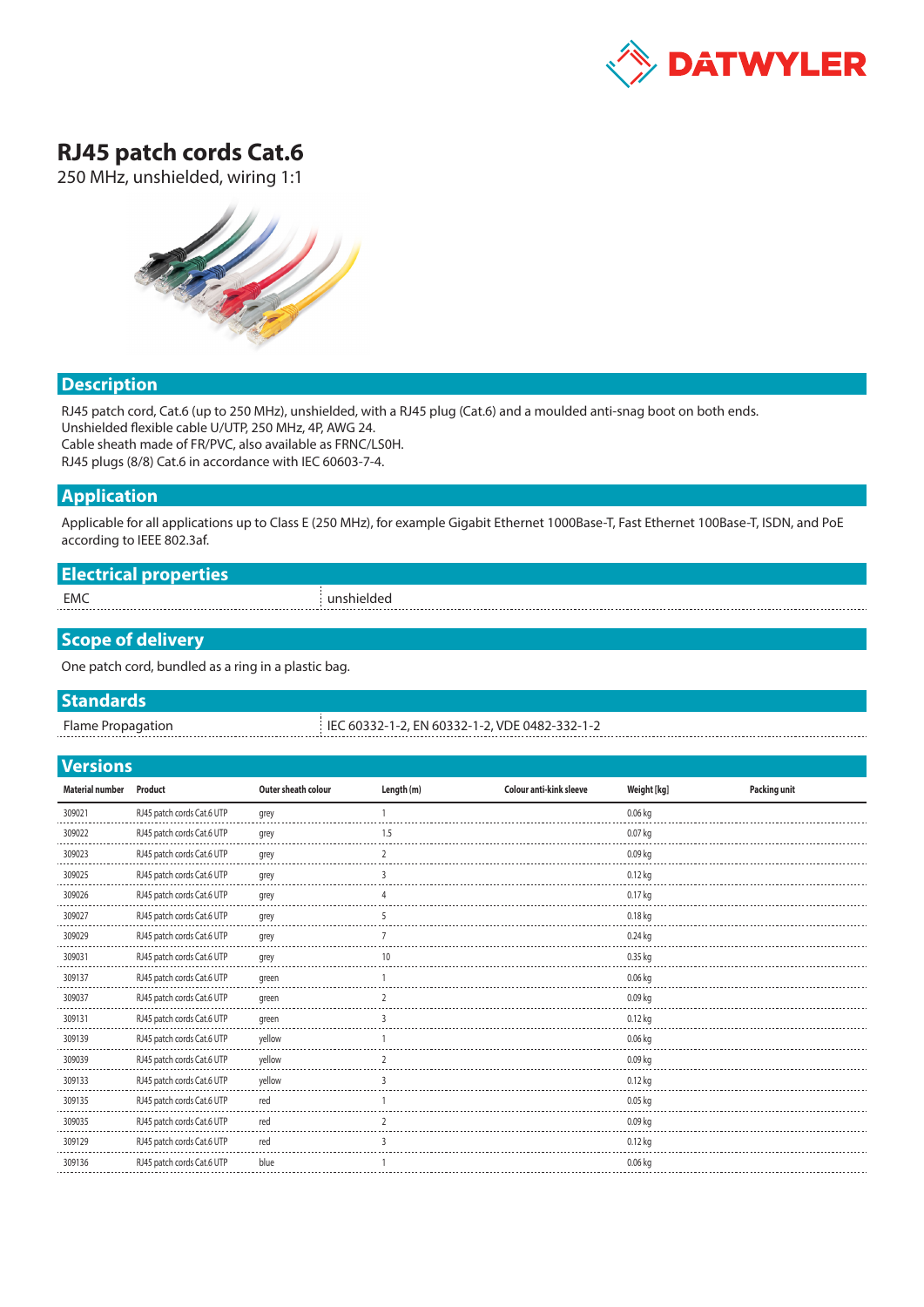

# **RJ45 patch cords Cat.6**

250 MHz, unshielded, wiring 1:1



### **Description**

RJ45 patch cord, Cat.6 (up to 250 MHz), unshielded, with a RJ45 plug (Cat.6) and a moulded anti-snag boot on both ends. Unshielded flexible cable U/UTP, 250 MHz, 4P, AWG 24. Cable sheath made of FR/PVC, also available as FRNC/LS0H. RJ45 plugs (8/8) Cat.6 in accordance with IEC 60603-7-4.

## **Application**

Applicable for all applications up to Class E (250 MHz), for example Gigabit Ethernet 1000Base-T, Fast Ethernet 100Base-T, ISDN, and PoE according to IEEE 802.3af.

| Flecture<br>ыссы қат |               |
|----------------------|---------------|
| EMC                  | . unshieldec' |

## **Scope of delivery**

One patch cord, bundled as a ring in a plastic bag.

#### **Standards**

Flame Propagation IEC 60332-1-2, EN 60332-1-2, VDE 0482-332-1-2

#### **Versions**

| <b>Material number</b> | Product                    | Outer sheath colour | Length (m) | Colour anti-kink sleeve | Weight [kg] | <b>Packing unit</b> |
|------------------------|----------------------------|---------------------|------------|-------------------------|-------------|---------------------|
| 309021                 | RJ45 patch cords Cat.6 UTP | grey                |            |                         | $0.06$ kg   |                     |
| 309022                 | RJ45 patch cords Cat.6 UTP | grey                | 1.5        |                         | 0.07 kg     |                     |
| 309023                 | RJ45 patch cords Cat.6 UTP | grey                |            |                         | $0.09$ kg   |                     |
| 309025                 | RJ45 patch cords Cat.6 UTP | grey                |            |                         | $0.12$ kg   |                     |
| 309026                 | RJ45 patch cords Cat.6 UTP | grey                |            |                         | $0.17$ kg   |                     |
| 309027                 | RJ45 patch cords Cat.6 UTP | grey                |            |                         | $0.18$ kg   |                     |
| 309029                 | RJ45 patch cords Cat.6 UTP | grey                |            |                         | $0.24$ kg   |                     |
| 309031                 | RJ45 patch cords Cat.6 UTP | grey                | 10         |                         | $0.35$ kg   |                     |
| 309137                 | RJ45 patch cords Cat.6 UTP | green               |            |                         | 0.06 kg     |                     |
| 309037                 | RJ45 patch cords Cat.6 UTP | green               |            |                         | $0.09$ kg   |                     |
| 309131                 | RJ45 patch cords Cat.6 UTP | green               | 3          |                         | $0.12$ kg   |                     |
| 309139                 | RJ45 patch cords Cat.6 UTP | yellow              |            |                         | $0.06$ kg   |                     |
| 309039                 | RJ45 patch cords Cat.6 UTP | yellow              | ,          |                         | $0.09$ kg   |                     |
| 309133                 | RJ45 patch cords Cat.6 UTP | yellow              | 3          |                         | $0.12$ kg   |                     |
| 309135                 | RJ45 patch cords Cat.6 UTP | red                 |            |                         | $0.05$ kg   |                     |
| 309035                 | RJ45 patch cords Cat.6 UTP | red                 |            |                         | $0.09$ kg   |                     |
| 309129                 | RJ45 patch cords Cat.6 UTP | red                 |            |                         | $0.12$ kg   |                     |
| 309136                 | RJ45 patch cords Cat.6 UTP | blue                |            |                         | $0.06$ kg   |                     |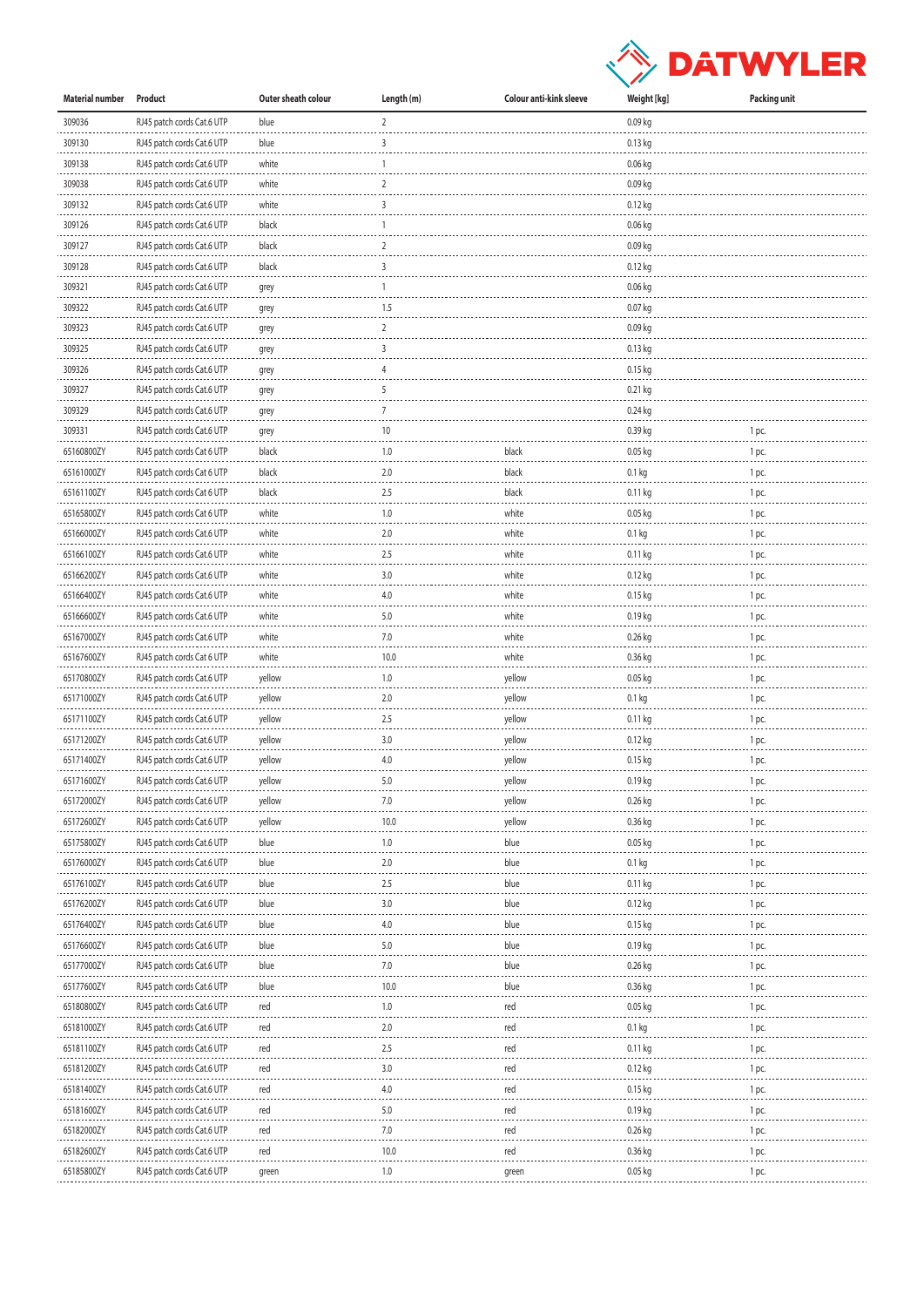

| Material number | Product                    | Outer sheath colour | Length (m)     | Colour anti-kink sleeve | Weight [kg]       | Packing unit |
|-----------------|----------------------------|---------------------|----------------|-------------------------|-------------------|--------------|
| 309036          | RJ45 patch cords Cat.6 UTP | blue                | $\overline{2}$ |                         | 0.09 kg           |              |
| 309130          | RJ45 patch cords Cat.6 UTP | blue                | 3              |                         | 0.13 kg           |              |
| 309138          | RJ45 patch cords Cat.6 UTP | white               | 1              |                         | 0.06 kg           |              |
| 309038          | RJ45 patch cords Cat.6 UTP | white               | 2              |                         | $0.09$ kg         |              |
| 309132          | RJ45 patch cords Cat.6 UTP | white               | 3              |                         | 0.12 kg           |              |
| 309126          | RJ45 patch cords Cat.6 UTP | black               | 1              |                         | 0.06 kg           |              |
| 309127          | RJ45 patch cords Cat.6 UTP | black               | $\overline{2}$ |                         | 0.09 kg           |              |
| 309128          | RJ45 patch cords Cat.6 UTP | black               | 3              |                         | 0.12 kg           |              |
| 309321          | RJ45 patch cords Cat.6 UTP |                     | 1              |                         | 0.06 kg           |              |
| 309322          |                            | grey                | 1.5            |                         | 0.07 kg           |              |
| 309323          | RJ45 patch cords Cat.6 UTP | grey                | 2              |                         | 0.09 kg           |              |
|                 | RJ45 patch cords Cat.6 UTP | grey                | 3              |                         |                   |              |
| 309325          | RJ45 patch cords Cat.6 UTP | grey                |                |                         | 0.13 kg           |              |
| 309326          | RJ45 patch cords Cat.6 UTP | grey                | 4              |                         | 0.15 kg           |              |
| 309327          | RJ45 patch cords Cat.6 UTP | grey                | 5              |                         | 0.21 kg           |              |
| 309329          | RJ45 patch cords Cat.6 UTP | grey                | $\overline{7}$ |                         | 0.24 kg           |              |
| 309331          | RJ45 patch cords Cat.6 UTP | grey                | 10             |                         | 0.39 kg           | 1 pc.        |
| 65160800ZY      | RJ45 patch cords Cat 6 UTP | black               | 1.0            | black                   | 0.05 kg           | 1 pc.        |
| 65161000ZY      | RJ45 patch cords Cat 6 UTP | black               | 2.0            | black                   | 0.1 <sub>kg</sub> | 1 pc.        |
| 65161100ZY      | RJ45 patch cords Cat 6 UTP | black               | 2.5            | black                   | 0.11 kg           | 1 pc.        |
| 65165800ZY      | RJ45 patch cords Cat 6 UTP | white               | 1.0            | white                   | 0.05 kg           | 1 pc.        |
| 65166000ZY      | RJ45 patch cords Cat.6 UTP | white               | 2.0            | white                   | 0.1 kg            | 1 pc.        |
| 65166100ZY      | RJ45 patch cords Cat.6 UTP | white               | 2.5            | white                   | 0.11 kg           | 1 pc.        |
| 65166200ZY      | RJ45 patch cords Cat.6 UTP | white               | 3.0            | white                   | 0.12 kg           | 1 pc.        |
| 65166400ZY      | RJ45 patch cords Cat.6 UTP | white               | 4.0            | white                   | $0.15$ kg         | 1 pc.        |
| 65166600ZY      | RJ45 patch cords Cat.6 UTP | white               | 5.0            | white                   | 0.19 kg           | 1 pc.        |
| 65167000ZY      | RJ45 patch cords Cat.6 UTP | white               | 7.0            | white                   | 0.26 kg           | 1 pc.        |
| 65167600ZY      | RJ45 patch cords Cat 6 UTP | white               | 10.0           | white                   | 0.36 kg           | 1 pc.        |
| 65170800ZY      | RJ45 patch cords Cat.6 UTP | yellow              | 1.0            | yellow                  | 0.05 kg           | 1 pc.        |
| 65171000ZY      | RJ45 patch cords Cat.6 UTP | yellow              | 2.0            | yellow                  | 0.1 <sub>kg</sub> | 1 pc.        |
| 65171100ZY      | RJ45 patch cords Cat.6 UTP | yellow              | 2.5            | yellow                  | 0.11 kg           | 1 pc.        |
| 65171200ZY      | RJ45 patch cords Cat.6 UTP | yellow              | 3.0            | yellow                  | 0.12 kg           | 1 pc.        |
| 65171400ZY      | RJ45 patch cords Cat.6 UTP | yellow              | 4.0            | yellow                  | $0.15$ kg         | 1 pc.        |
| 65171600ZY      | RJ45 patch cords Cat.6 UTP | yellow              | 5.0            | yellow                  | 0.19 kg           | 1 pc.        |
| 65172000ZY      | RJ45 patch cords Cat.6 UTP | yellow              | 7.0            | yellow                  | 0.26 kg           | 1 pc.        |
| 65172600ZY      | RJ45 patch cords Cat.6 UTP | yellow              | 10.0           | yellow                  | 0.36 kg           | 1 pc.        |
| 65175800ZY      | RJ45 patch cords Cat.6 UTP | blue                | 1.0            | blue                    | 0.05 kg           | 1 pc.        |
| 65176000ZY      | RJ45 patch cords Cat.6 UTP | blue                | 2.0            | blue                    | 0.1 kg            | 1 pc.        |
| 65176100ZY      |                            | blue                | 2.5            | blue                    |                   |              |
|                 | RJ45 patch cords Cat.6 UTP |                     |                |                         | 0.11 kg           | 1 pc.        |
| 65176200ZY      | RJ45 patch cords Cat.6 UTP | blue                | 3.0            | blue                    | 0.12 kg           | 1 pc.        |
| 65176400ZY      | RJ45 patch cords Cat.6 UTP | blue                | 4.0            | blue                    | 0.15 kg           | 1 pc.        |
| 65176600ZY      | RJ45 patch cords Cat.6 UTP | blue                | 5.0            | blue                    | 0.19 kg           | 1 pc.        |
| 65177000ZY      | RJ45 patch cords Cat.6 UTP | blue                | 7.0            | blue                    | 0.26 kg           | 1 pc.        |
| 65177600ZY      | RJ45 patch cords Cat.6 UTP | blue                | 10.0           | blue                    | 0.36 kg           | 1 pc.        |
| 65180800ZY      | RJ45 patch cords Cat.6 UTP | red                 | 1.0            | red                     | 0.05 kg           | 1 pc.        |
| 65181000ZY      | RJ45 patch cords Cat.6 UTP | red                 | 2.0            | red                     | 0.1 kg            | 1 pc.        |
| 65181100ZY      | RJ45 patch cords Cat.6 UTP | red                 | 2.5            | red                     | 0.11 kg           | 1 pc.        |
| 65181200ZY      | RJ45 patch cords Cat.6 UTP | red                 | 3.0            | red                     | 0.12 kg           | 1 pc.        |
| 65181400ZY      | RJ45 patch cords Cat.6 UTP | red                 | 4.0            | red                     | 0.15 kg           | 1 pc.        |
| 65181600ZY      | RJ45 patch cords Cat.6 UTP | red                 | 5.0            | red                     | 0.19 kg           | 1 pc.        |
| 65182000ZY      | RJ45 patch cords Cat.6 UTP | red                 | 7.0            | red                     | 0.26 kg           | 1 pc.        |
| 65182600ZY      | RJ45 patch cords Cat.6 UTP | red                 | 10.0           | red                     | 0.36 kg           | 1 pc.        |
| 65185800ZY      | RJ45 patch cords Cat.6 UTP | green               | 1.0            | green                   | 0.05 kg           | 1 pc.        |
|                 |                            |                     |                |                         |                   |              |